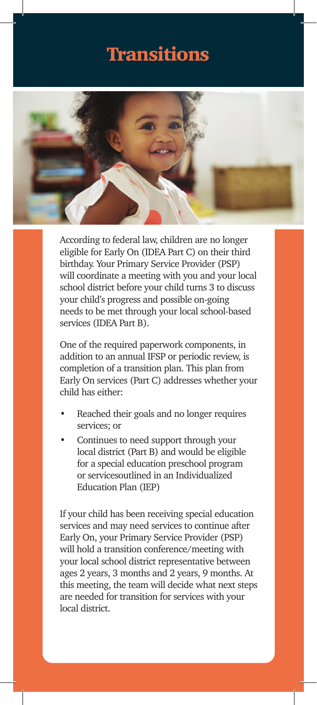### **Transitions**



According to federal law, children are no longer eligible for Early On (IDEA Part C) on their third birthday. Your Primary Service Provider (PSP) will coordinate a meeting with you and your local school district before your child turns 3 to discuss your child's progress and possible on-going needs to be met through your local school-based services (IDEA Part B).

One of the required paperwork components, in addition to an annual IFSP or periodic review, is completion of a transition plan. This plan from Early On services (Part C) addresses whether your child has either:

- Reached their goals and no longer requires services; or
- Continues to need support through your local district (Part B) and would be eligible for a special education preschool program or servicesoutlined in an Individualized Education Plan (IEP)

If your child has been receiving special education services and may need services to continue after Early On, your Primary Service Provider (PSP) will hold a transition conference/meeting with your local school district representative between ages 2 years, 3 months and 2 years, 9 months. At this meeting, the team will decide what next steps are needed for transition for services with your local district.